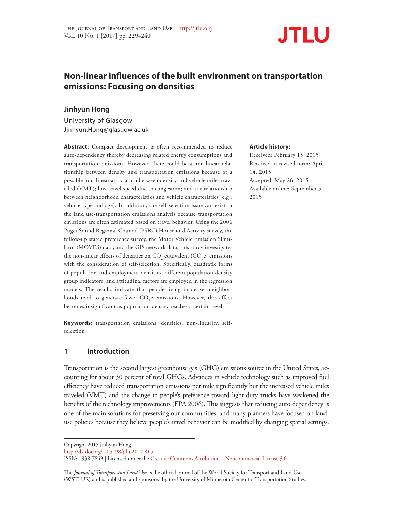

# **Non-linear influences of the built environment on transportation emissions: Focusing on densities**

### **Jinhyun Hong**

University of Glasgow Jinhyun.Hong@glasgow.ac.uk

**Abstract:** Compact development is often recommended to reduce auto-dependency thereby decreasing related energy consumptions and transportation emissions. However, there could be a non-linear relationship between density and transportation emissions because of a possible non-linear association between density and vehicle miles travelled (VMT); low travel speed due to congestion; and the relationship between neighborhood characteristics and vehicle characteristics (e.g., vehicle type and age). In addition, the self-selection issue can exist in the land use-transportation emissions analysis because transportation emissions are often estimated based on travel behavior. Using the 2006 Puget Sound Regional Council (PSRC) Household Activity survey, the follow-up stated preference survey, the Motor Vehicle Emission Simulator (MOVES) data, and the GIS network data, this study investigates the non-linear effects of densities on  $\mathrm{CO}_2$  equivalent (CO<sub>2</sub>e) emissions with the consideration of self-selection. Specifically, quadratic forms of population and employment densities, different population density group indicators, and attitudinal factors are employed in the regression models. The results indicate that people living in denser neighborhoods tend to generate fewer  $\mathrm{CO}_2$ e emissions. However, this effect becomes insignificant as population density reaches a certain level.

**Keywords:** transportation emissions, densities, non-linearity, selfselection

### **1 Introduction**

Transportation is the second largest greenhouse gas (GHG) emissions source in the United States, accounting for about 30 percent of total GHGs. Advances in vehicle technology such as improved fuel efficiency have reduced transportation emissions per mile significantly but the increased vehicle miles traveled (VMT) and the change in people's preference toward light-duty trucks have weakened the benefits of the technology improvements (EPA 2006). This suggests that reducing auto dependency is one of the main solutions for preserving our communities, and many planners have focused on landuse policies because they believe people's travel behavior can be modified by changing spatial settings.

The *Journal of Transport and Land* Use is the official journal of the World Society for Transport and Land Use (WSTLUR) and is published and sponsored by the University of Minnesota Center for Transportation Studies.

#### **Article history:**

Received: February 15, 2015 Received in revised form: April 14, 2015 Accepted: May 26, 2015 Available online: September 3, 2015

Copyright 2015 Jinhyun Hong

http://dx.doi.org/10.5198/jtlu.2017.815

ISSN: 1938-7849 | Licensed under the Creative Commons Attribution – Noncommercial License 3.0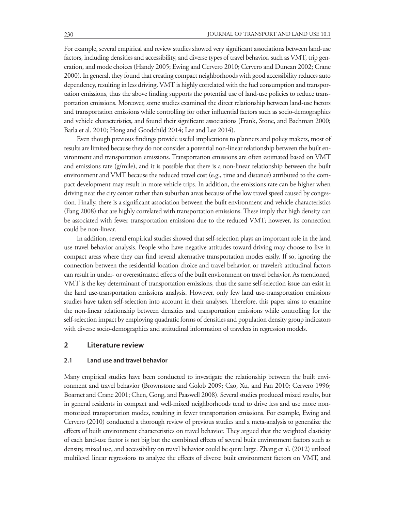For example, several empirical and review studies showed very significant associations between land-use factors, including densities and accessibility, and diverse types of travel behavior, such as VMT, trip generation, and mode choices (Handy 2005; Ewing and Cervero 2010; Cervero and Duncan 2002; Crane 2000). In general, they found that creating compact neighborhoods with good accessibility reduces auto dependency, resulting in less driving. VMT is highly correlated with the fuel consumption and transportation emissions, thus the above finding supports the potential use of land-use policies to reduce transportation emissions. Moreover, some studies examined the direct relationship between land-use factors and transportation emissions while controlling for other influential factors such as socio-demographics and vehicle characteristics, and found their significant associations (Frank, Stone, and Bachman 2000; Barla et al. 2010; Hong and Goodchild 2014; Lee and Lee 2014).

Even though previous findings provide useful implications to planners and policy makers, most of results are limited because they do not consider a potential non-linear relationship between the built environment and transportation emissions. Transportation emissions are often estimated based on VMT and emissions rate (g/mile), and it is possible that there is a non-linear relationship between the built environment and VMT because the reduced travel cost (e.g., time and distance) attributed to the compact development may result in more vehicle trips. In addition, the emissions rate can be higher when driving near the city center rather than suburban areas because of the low travel speed caused by congestion. Finally, there is a significant association between the built environment and vehicle characteristics (Fang 2008) that are highly correlated with transportation emissions. These imply that high density can be associated with fewer transportation emissions due to the reduced VMT; however, its connection could be non-linear.

In addition, several empirical studies showed that self-selection plays an important role in the land use-travel behavior analysis. People who have negative attitudes toward driving may choose to live in compact areas where they can find several alternative transportation modes easily. If so, ignoring the connection between the residential location choice and travel behavior, or traveler's attitudinal factors can result in under- or overestimated effects of the built environment on travel behavior. As mentioned, VMT is the key determinant of transportation emissions, thus the same self-selection issue can exist in the land use-transportation emissions analysis. However, only few land use-transportation emissions studies have taken self-selection into account in their analyses. Therefore, this paper aims to examine the non-linear relationship between densities and transportation emissions while controlling for the self-selection impact by employing quadratic forms of densities and population density group indicators with diverse socio-demographics and attitudinal information of travelers in regression models.

### **2 Literature review**

#### **2.1 Land use and travel behavior**

Many empirical studies have been conducted to investigate the relationship between the built environment and travel behavior (Brownstone and Golob 2009; Cao, Xu, and Fan 2010; Cervero 1996; Boarnet and Crane 2001; Chen, Gong, and Paaswell 2008). Several studies produced mixed results, but in general residents in compact and well-mixed neighborhoods tend to drive less and use more nonmotorized transportation modes, resulting in fewer transportation emissions. For example, Ewing and Cervero (2010) conducted a thorough review of previous studies and a meta-analysis to generalize the effects of built environment characteristics on travel behavior. They argued that the weighted elasticity of each land-use factor is not big but the combined effects of several built environment factors such as density, mixed use, and accessibility on travel behavior could be quite large. Zhang et al. (2012) utilized multilevel linear regressions to analyze the effects of diverse built environment factors on VMT, and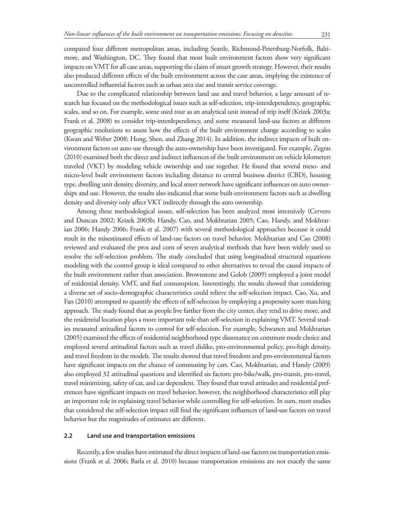compared four different metropolitan areas, including Seattle, Richmond-Petersburg-Norfolk, Baltimore, and Washington, DC. They found that most built environment factors show very significant impacts on VMT for all case areas, supporting the claim of smart growth strategy. However, their results also produced different effects of the built environment across the case areas, implying the existence of uncontrolled influential factors such as urban area size and transit service coverage.

Due to the complicated relationship between land use and travel behavior, a large amount of research has focused on the methodological issues such as self-selection, trip-interdependency, geographic scales, and so on. For example, some used tour as an analytical unit instead of trip itself (Krizek 2003a; Frank et al. 2008) to consider trip-interdependency, and some measured land-use factors at different geographic resolutions to assess how the effects of the built environment change according to scales (Kwan and Weber 2008; Hong, Shen, and Zhang 2014). In addition, the indirect impacts of built environment factors on auto use through the auto-ownership have been investigated. For example, Zegras (2010) examined both the direct and indirect influences of the built environment on vehicle kilometers traveled (VKT) by modeling vehicle ownership and use together. He found that several meso- and micro-level built environment factors including distance to central business district (CBD), housing type, dwelling unit density, diversity, and local street network have significant influences on auto ownerships and use. However, the results also indicated that some built-environment factors such as dwelling density and diversity only affect VKT indirectly through the auto ownership.

Among these methodological issues, self-selection has been analyzed most intensively (Cervero and Duncan 2002; Krizek 2003b; Handy, Cao, and Mokhtarian 2005; Cao, Handy, and Mokhtarian 2006; Handy 2006; Frank et al. 2007) with several methodological approaches because it could result in the misestimated effects of land-use factors on travel behavior. Mokhtarian and Cao (2008) reviewed and evaluated the pros and cons of seven analytical methods that have been widely used to resolve the self-selection problem. The study concluded that using longitudinal structural equations modeling with the control group is ideal compared to other alternatives to reveal the causal impacts of the built environment rather than association. Brownstone and Golob (2009) employed a joint model of residential density, VMT, and fuel consumption. Interestingly, the results showed that considering a diverse set of socio-demographic characteristics could relieve the self-selection impact. Cao, Xu, and Fan (2010) attempted to quantify the effects of self-selection by employing a propensity score matching approach. The study found that as people live farther from the city center, they tend to drive more, and the residential location plays a more important role than self-selection in explaining VMT. Several studies measured attitudinal factors to control for self-selection. For example, Schwanen and Mokhtarian (2005) examined the effects of residential neighborhood type dissonance on commute mode choice and employed several attitudinal factors such as travel dislike, pro-environmental policy, pro-high density, and travel freedom in the models. The results showed that travel freedom and pro-environmental factors have significant impacts on the chance of commuting by cars. Cao, Mokhtarian, and Handy (2009) also employed 32 attitudinal questions and identified six factors: pro-bike/walk, pro-transit, pro-travel, travel minimizing, safety of car, and car dependent. They found that travel attitudes and residential preferences have significant impacts on travel behavior; however, the neighborhood characteristics still play an important role in explaining travel behavior while controlling for self-selection. In sum, most studies that considered the self-selection impact still find the significant influences of land-use factors on travel behavior but the magnitudes of estimates are different.

#### **2.2 Land use and transportation emissions**

Recently, a few studies have estimated the direct impacts of land-use factors on transportation emissions (Frank et al. 2006; Barla et al. 2010) because transportation emissions are not exactly the same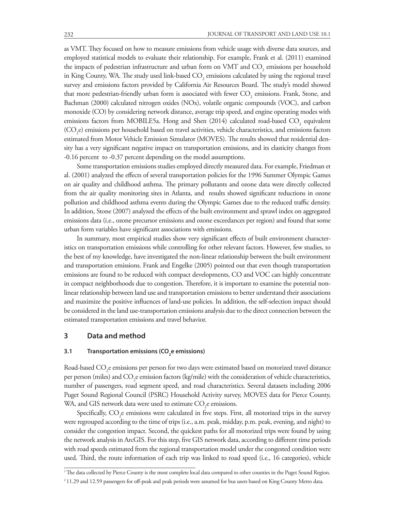as VMT. They focused on how to measure emissions from vehicle usage with diverse data sources, and employed statistical models to evaluate their relationship. For example, Frank et al. (2011) examined the impacts of pedestrian infrastructure and urban form on VMT and  $\mathrm{CO}_2$  emissions per household in King County, WA. The study used link-based  $\mathrm{CO}_2$  emissions calculated by using the regional travel survey and emissions factors provided by California Air Resources Board. The study's model showed that more pedestrian-friendly urban form is associated with fewer  $\mathrm{CO}_2$  emissions. Frank, Stone, and Bachman (2000) calculated nitrogen oxides (NOx), volatile organic compounds (VOC), and carbon monoxide (CO) by considering network distance, average trip speed, and engine operating modes with emissions factors from MOBILE5a. Hong and Shen (2014) calculated road-based  $\rm CO_{2}$  equivalent  $(\text{CO}_2^e)$  emissions per household based on travel activities, vehicle characteristics, and emissions factors estimated from Motor Vehicle Emission Simulator (MOVES). The results showed that residential density has a very significant negative impact on transportation emissions, and its elasticity changes from -0.16 percent to -0.37 percent depending on the model assumptions.

Some transportation emissions studies employed directly measured data. For example, Friedman et al. (2001) analyzed the effects of several transportation policies for the 1996 Summer Olympic Games on air quality and childhood asthma. The primary pollutants and ozone data were directly collected from the air quality monitoring sites in Atlanta, and results showed significant reductions in ozone pollution and childhood asthma events during the Olympic Games due to the reduced traffic density. In addition, Stone (2007) analyzed the effects of the built environment and sprawl index on aggregated emissions data (i.e., ozone precursor emissions and ozone exceedances per region) and found that some urban form variables have significant associations with emissions.

In summary, most empirical studies show very significant effects of built environment characteristics on transportation emissions while controlling for other relevant factors. However, few studies, to the best of my knowledge, have investigated the non-linear relationship between the built environment and transportation emissions. Frank and Engelke (2005) pointed out that even though transportation emissions are found to be reduced with compact developments, CO and VOC can highly concentrate in compact neighborhoods due to congestion. Therefore, it is important to examine the potential nonlinear relationship between land use and transportation emissions to better understand their associations and maximize the positive influences of land-use policies. In addition, the self-selection impact should be considered in the land use-transportation emissions analysis due to the direct connection between the estimated transportation emissions and travel behavior.

#### **3 Data and method**

### **3.1 Transportation emissions (CO<sub>2</sub>e emissions)**

Road-based  $\mathrm{CO}_2$ e emissions per person for two days were estimated based on motorized travel distance per person (miles) and  $\rm CO_2$ e emission factors (kg/mile) with the consideration of vehicle characteristics, number of passengers, road segment speed, and road characteristics. Several datasets including 2006 Puget Sound Regional Council (PSRC) Household Activity survey, MOVES data for Pierce County, WA, and GIS network data were used to estimate  $\mathrm{CO}_2$ e emissions.

Specifically,  $\mathrm{CO}_2$ e emissions were calculated in five steps. First, all motorized trips in the survey were regrouped according to the time of trips (i.e., a.m. peak, midday, p.m. peak, evening, and night) to consider the congestion impact. Second, the quickest paths for all motorized trips were found by using the network analysis in ArcGIS. For this step, five GIS network data, according to different time periods with road speeds estimated from the regional transportation model under the congested condition were used. Third, the route information of each trip was linked to road speed (i.e., 16 categories), vehicle

<sup>&</sup>lt;sup>1</sup>The data collected by Pierce County is the most complete local data compared to other counties in the Puget Sound Region.

<sup>2 11.29</sup> and 12.59 passengers for off-peak and peak periods were assumed for bus users based on King County Metro data.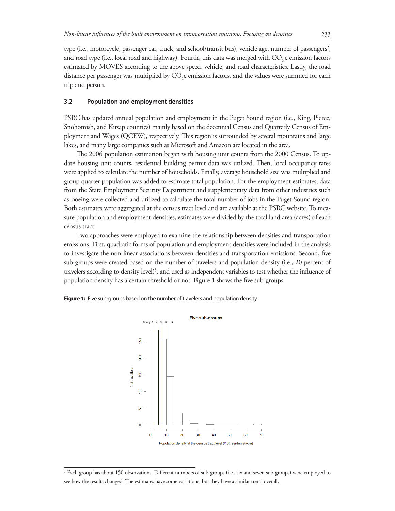type (i.e., motorcycle, passenger car, truck, and school/transit bus), vehicle age, number of passengers<sup>2</sup>, and road type (i.e., local road and highway). Fourth, this data was merged with  $CO$ , e emission factors estimated by MOVES according to the above speed, vehicle, and road characteristics. Lastly, the road distance per passenger was multiplied by  $\mathrm{CO}_2$ e emission factors, and the values were summed for each trip and person.

### **3.2 Population and employment densities**

PSRC has updated annual population and employment in the Puget Sound region (i.e., King, Pierce, Snohomish, and Kitsap counties) mainly based on the decennial Census and Quarterly Census of Employment and Wages (QCEW), respectively. This region is surrounded by several mountains and large lakes, and many large companies such as Microsoft and Amazon are located in the area.

The 2006 population estimation began with housing unit counts from the 2000 Census. To update housing unit counts, residential building permit data was utilized. Then, local occupancy rates were applied to calculate the number of households. Finally, average household size was multiplied and group quarter population was added to estimate total population. For the employment estimates, data from the State Employment Security Department and supplementary data from other industries such as Boeing were collected and utilized to calculate the total number of jobs in the Puget Sound region. Both estimates were aggregated at the census tract level and are available at the PSRC website. To measure population and employment densities, estimates were divided by the total land area (acres) of each census tract.

Two approaches were employed to examine the relationship between densities and transportation emissions. First, quadratic forms of population and employment densities were included in the analysis to investigate the non-linear associations between densities and transportation emissions. Second, five sub-groups were created based on the number of travelers and population density (i.e., 20 percent of travelers according to density level)<sup>3</sup>, and used as independent variables to test whether the influence of population density has a certain threshold or not. Figure 1 shows the five sub-groups.





<sup>3</sup> Each group has about 150 observations. Different numbers of sub-groups (i.e., six and seven sub-groups) were employed to see how the results changed. The estimates have some variations, but they have a similar trend overall.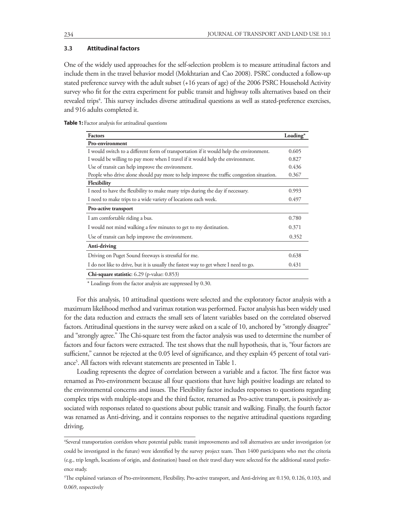### **3.3 Attitudinal factors**

One of the widely used approaches for the self-selection problem is to measure attitudinal factors and include them in the travel behavior model (Mokhtarian and Cao 2008). PSRC conducted a follow-up stated preference survey with the adult subset (+16 years of age) of the 2006 PSRC Household Activity survey who fit for the extra experiment for public transit and highway tolls alternatives based on their revealed trips<sup>4</sup>. This survey includes diverse attitudinal questions as well as stated-preference exercises, and 916 adults completed it.

**Table 1:** Factor analysis for attitudinal questions

| <b>Factors</b>                                                                           | Loading* |
|------------------------------------------------------------------------------------------|----------|
| <b>Pro-environment</b>                                                                   |          |
| I would switch to a different form of transportation if it would help the environment.   | 0.605    |
| I would be willing to pay more when I travel if it would help the environment.           | 0.827    |
| Use of transit can help improve the environment.                                         | 0.436    |
| People who drive alone should pay more to help improve the traffic congestion situation. | 0.367    |
| Flexibility                                                                              |          |
| I need to have the flexibility to make many trips during the day if necessary.           | 0.993    |
| I need to make trips to a wide variety of locations each week.                           | 0.497    |
| Pro-active transport                                                                     |          |
| I am comfortable riding a bus.                                                           | 0.780    |
| I would not mind walking a few minutes to get to my destination.                         | 0.371    |
| Use of transit can help improve the environment.                                         | 0.352    |
| Anti-driving                                                                             |          |
| Driving on Puget Sound freeways is stressful for me.                                     | 0.638    |
| I do not like to drive, but it is usually the fastest way to get where I need to go.     | 0.431    |
| Chi-square statistic: 6.29 (p-value: 0.853)                                              |          |

\* Loadings from the factor analysis are suppressed by 0.30.

For this analysis, 10 attitudinal questions were selected and the exploratory factor analysis with a maximum likelihood method and varimax rotation was performed. Factor analysis has been widely used for the data reduction and extracts the small sets of latent variables based on the correlated observed factors. Attitudinal questions in the survey were asked on a scale of 10, anchored by "strongly disagree" and "strongly agree." The Chi-square test from the factor analysis was used to determine the number of factors and four factors were extracted. The test shows that the null hypothesis, that is, "four factors are sufficient," cannot be rejected at the 0.05 level of significance, and they explain 45 percent of total variance<sup>5</sup>. All factors with relevant statements are presented in Table 1.

Loading represents the degree of correlation between a variable and a factor. The first factor was renamed as Pro-environment because all four questions that have high positive loadings are related to the environmental concerns and issues. The Flexibility factor includes responses to questions regarding complex trips with multiple-stops and the third factor, renamed as Pro-active transport, is positively associated with responses related to questions about public transit and walking. Finally, the fourth factor was renamed as Anti-driving, and it contains responses to the negative attitudinal questions regarding driving.

<sup>4</sup> Several transportation corridors where potential public transit improvements and toll alternatives are under investigation (or could be investigated in the future) were identified by the survey project team. Then 1400 participants who met the criteria (e.g., trip length, locations of origin, and destination) based on their travel diary were selected for the additional stated preference study.

<sup>5</sup> The explained variances of Pro-environment, Flexibility, Pro-active transport, and Anti-driving are 0.150, 0.126, 0.103, and 0.069, respectively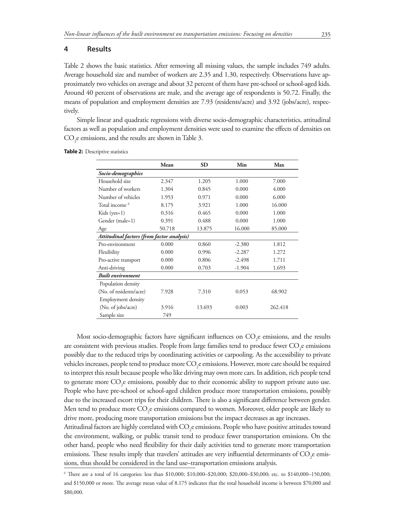#### **4 Results**

Table 2 shows the basic statistics. After removing all missing values, the sample includes 749 adults. Average household size and number of workers are 2.35 and 1.30, respectively. Observations have approximately two vehicles on average and about 32 percent of them have pre-school or school-aged kids. Around 40 percent of observations are male, and the average age of respondents is 50.72. Finally, the means of population and employment densities are 7.93 (residents/acre) and 3.92 (jobs/acre), respectively.

Simple linear and quadratic regressions with diverse socio-demographic characteristics, attitudinal factors as well as population and employment densities were used to examine the effects of densities on  $CO_2$ e emissions, and the results are shown in Table 3.

|                           | Mean                                       | <b>SD</b> | Min      | Max     |  |  |  |  |  |
|---------------------------|--------------------------------------------|-----------|----------|---------|--|--|--|--|--|
| Socio-demographics        |                                            |           |          |         |  |  |  |  |  |
| Household size            | 2.347                                      | 1.205     | 1.000    | 7.000   |  |  |  |  |  |
| Number of workers         | 1.304                                      | 0.845     | 0.000    | 4.000   |  |  |  |  |  |
| Number of vehicles        | 1.953                                      | 0.971     | 0.000    | 6.000   |  |  |  |  |  |
| Total income <sup>6</sup> | 8.175                                      | 3.921     | 1.000    | 16.000  |  |  |  |  |  |
| Kids ( $yes=1$ )          | 0.316                                      | 0.465     | 0.000    | 1.000   |  |  |  |  |  |
| Gender (male=1)           | 0.391                                      | 0.488     | 0.000    | 1.000   |  |  |  |  |  |
| Age                       | 50.718                                     | 13.875    | 16.000   | 85.000  |  |  |  |  |  |
|                           | Attitudinal factors (from factor analysis) |           |          |         |  |  |  |  |  |
| Pro-environment           | 0.000                                      | 0.860     | $-2.380$ | 1.812   |  |  |  |  |  |
| Flexibility               | 0.000                                      | 0.996     | $-2.287$ | 1.272   |  |  |  |  |  |
| Pro-active transport      | 0.000                                      | 0.806     | $-2.498$ | 1.711   |  |  |  |  |  |
| Anti-driving              | 0.000                                      | 0.703     | $-1.904$ | 1.693   |  |  |  |  |  |
| <b>Built</b> environment  |                                            |           |          |         |  |  |  |  |  |
| Population density        |                                            |           |          |         |  |  |  |  |  |
| (No. of residents/acre)   | 7.928                                      | 7.310     | 0.053    | 68.902  |  |  |  |  |  |
| <b>Employment density</b> |                                            |           |          |         |  |  |  |  |  |
| (No. of jobs/acre)        | 3.916                                      | 13.693    | 0.003    | 262.418 |  |  |  |  |  |
| Sample size               | 749                                        |           |          |         |  |  |  |  |  |

**Table 2: Descriptive statistics** 

Most socio-demographic factors have significant influences on  $CO_2$ e emissions, and the results are consistent with previous studies. People from large families tend to produce fewer  $\mathrm{CO}_2$ e emissions possibly due to the reduced trips by coordinating activities or carpooling. As the accessibility to private vehicles increases, people tend to produce more  $\mathrm{CO}_2$ e emissions. However, more care should be required to interpret this result because people who like driving may own more cars. In addition, rich people tend to generate more  $CO_2$ e emissions, possibly due to their economic ability to support private auto use. People who have pre-school or school-aged children produce more transportation emissions, possibly due to the increased escort trips for their children. There is also a significant difference between gender. Men tend to produce more  $\mathrm{CO}_2$ e emissions compared to women. Moreover, older people are likely to drive more, producing more transportation emissions but the impact decreases as age increases.

Attitudinal factors are highly correlated with CO<sub>2</sub>e emissions. People who have positive attitudes toward the environment, walking, or public transit tend to produce fewer transportation emissions. On the other hand, people who need flexibility for their daily activities tend to generate more transportation emissions. These results imply that travelers' attitudes are very influential determinants of  $\rm CO_{2}$ e emissions, thus should be considered in the land use–transportation emissions analysis.

<sup>6</sup> There are a total of 16 categories: less than \$10,000; \$10,000–\$20,000; \$20,000–\$30,000; etc. to \$140,000–150,000; and \$150,000 or more. The average mean value of 8.175 indicates that the total household income is between \$70,000 and \$80,000.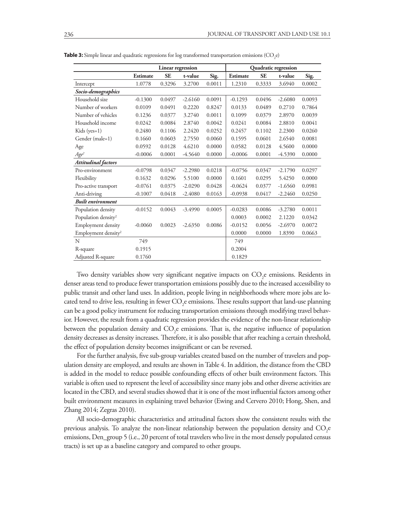|                                 | Linear regression |           |           |        | Quadratic regression |           |           |        |
|---------------------------------|-------------------|-----------|-----------|--------|----------------------|-----------|-----------|--------|
|                                 | <b>Estimate</b>   | <b>SE</b> | t-value   | Sig.   | <b>Estimate</b>      | <b>SE</b> | t-value   | Sig.   |
| Intercept                       | 1.0778            | 0.3296    | 3.2700    | 0.0011 | 1.2310               | 0.3333    | 3.6940    | 0.0002 |
| Socio-demographics              |                   |           |           |        |                      |           |           |        |
| Household size                  | $-0.1300$         | 0.0497    | $-2.6160$ | 0.0091 | $-0.1293$            | 0.0496    | $-2.6080$ | 0.0093 |
| Number of workers               | 0.0109            | 0.0491    | 0.2220    | 0.8247 | 0.0133               | 0.0489    | 0.2710    | 0.7864 |
| Number of vehicles              | 0.1236            | 0.0377    | 3.2740    | 0.0011 | 0.1099               | 0.0379    | 2.8970    | 0.0039 |
| Household income                | 0.0242            | 0.0084    | 2.8740    | 0.0042 | 0.0241               | 0.0084    | 2.8810    | 0.0041 |
| Kids ( $yes=1$ )                | 0.2480            | 0.1106    | 2.2420    | 0.0252 | 0.2457               | 0.1102    | 2.2300    | 0.0260 |
| Gender (male=1)                 | 0.1660            | 0.0603    | 2.7550    | 0.0060 | 0.1595               | 0.0601    | 2.6540    | 0.0081 |
| Age                             | 0.0592            | 0.0128    | 4.6210    | 0.0000 | 0.0582               | 0.0128    | 4.5600    | 0.0000 |
| $Age^2$                         | $-0.0006$         | 0.0001    | $-4.5640$ | 0.0000 | $-0.0006$            | 0.0001    | -4.5390   | 0.0000 |
| <b>Attitudinal factors</b>      |                   |           |           |        |                      |           |           |        |
| Pro-environment                 | $-0.0798$         | 0.0347    | $-2.2980$ | 0.0218 | $-0.0756$            | 0.0347    | $-2.1790$ | 0.0297 |
| Flexibility                     | 0.1632            | 0.0296    | 5.5100    | 0.0000 | 0.1601               | 0.0295    | 5.4250    | 0.0000 |
| Pro-active transport            | $-0.0761$         | 0.0375    | $-2.0290$ | 0.0428 | $-0.0624$            | 0.0377    | $-1.6560$ | 0.0981 |
| Anti-driving                    | $-0.1007$         | 0.0418    | $-2.4080$ | 0.0163 | $-0.0938$            | 0.0417    | $-2.2460$ | 0.0250 |
| <b>Built</b> environment        |                   |           |           |        |                      |           |           |        |
| Population density              | $-0.0152$         | 0.0043    | $-3.4990$ | 0.0005 | $-0.0283$            | 0.0086    | $-3.2780$ | 0.0011 |
| Population density <sup>2</sup> |                   |           |           |        | 0.0003               | 0.0002    | 2.1220    | 0.0342 |
| Employment density              | $-0.0060$         | 0.0023    | $-2.6350$ | 0.0086 | $-0.0152$            | 0.0056    | $-2.6970$ | 0.0072 |
| Employment density <sup>2</sup> |                   |           |           |        | 0.0000               | 0.0000    | 1.8390    | 0.0663 |
| N                               | 749               |           |           |        | 749                  |           |           |        |
| R-square                        | 0.1915            |           |           |        | 0.2004               |           |           |        |
| Adjusted R-square               | 0.1760            |           |           |        | 0.1829               |           |           |        |

**Table 3:** Simple linear and quadratic regressions for log transformed transportation emissions (CO<sub>2</sub>e)

Two density variables show very significant negative impacts on  $CO_2$ e emissions. Residents in denser areas tend to produce fewer transportation emissions possibly due to the increased accessibility to public transit and other land uses. In addition, people living in neighborhoods where more jobs are located tend to drive less, resulting in fewer  $\mathrm{CO}_2$ e emissions. These results support that land-use planning can be a good policy instrument for reducing transportation emissions through modifying travel behavior. However, the result from a quadratic regression provides the evidence of the non-linear relationship between the population density and  $CO_2e$  emissions. That is, the negative influence of population density decreases as density increases. Therefore, it is also possible that after reaching a certain threshold, the effect of population density becomes insignificant or can be reversed.

For the further analysis, five sub-group variables created based on the number of travelers and population density are employed, and results are shown in Table 4. In addition, the distance from the CBD is added in the model to reduce possible confounding effects of other built environment factors. This variable is often used to represent the level of accessibility since many jobs and other diverse activities are located in the CBD, and several studies showed that it is one of the most influential factors among other built environment measures in explaining travel behavior (Ewing and Cervero 2010; Hong, Shen, and Zhang 2014; Zegras 2010).

All socio-demographic characteristics and attitudinal factors show the consistent results with the previous analysis. To analyze the non-linear relationship between the population density and  $\rm CO_{2}e$ emissions, Den\_group 5 (i.e., 20 percent of total travelers who live in the most densely populated census tracts) is set up as a baseline category and compared to other groups.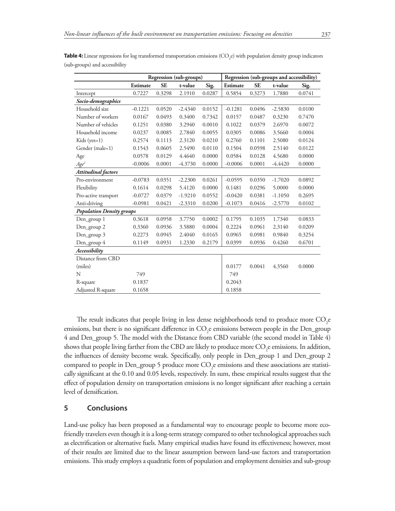| <b>4:</b> Linear regressions for log transformed transportation emissions (CO <sub>s</sub> e) with population density group indicators |                                                                      |           |         |                  |          |           |         |        |
|----------------------------------------------------------------------------------------------------------------------------------------|----------------------------------------------------------------------|-----------|---------|------------------|----------|-----------|---------|--------|
| groups) and accessibility                                                                                                              |                                                                      |           |         |                  |          |           |         |        |
|                                                                                                                                        | Regression (sub-groups and accessibility)<br>Regression (sub-groups) |           |         |                  |          |           |         |        |
|                                                                                                                                        | Estimate                                                             | <b>SE</b> | t-value | Sig.             | Estimate | <b>SE</b> | t-value | Sig.   |
| Intercept                                                                                                                              | 0.7227                                                               | 0.3298    | 2.1910  | 0.0287           | 0.5854   | 0.3273    | 1.7880  | 0.0741 |
| Socio-demographics                                                                                                                     |                                                                      |           |         |                  |          |           |         |        |
| TT 111.                                                                                                                                | 0.1001                                                               | 0.0500    |         | $0/0/0$ $0.0150$ | 0.1001   | 0.0101    | 2000    | 0.0100 |

**Table 4:** Linear regressions for log transformed transportation emissions (CC e) with population density group indicators (sub-groups) and accessibility

| Socio-demographics               |           |        |           |        |           |        |           |        |
|----------------------------------|-----------|--------|-----------|--------|-----------|--------|-----------|--------|
| Household size                   | $-0.1221$ | 0.0520 | $-2.4340$ | 0.0152 | $-0.1281$ | 0.0496 | $-2.5830$ | 0.0100 |
| Number of workers                | 0.0167    | 0.0493 | 0.3400    | 0.7342 | 0.0157    | 0.0487 | 0.3230    | 0.7470 |
| Number of vehicles               | 0.1251    | 0.0380 | 3.2940    | 0.0010 | 0.1022    | 0.0379 | 2.6970    | 0.0072 |
| Household income                 | 0.0237    | 0.0085 | 2.7840    | 0.0055 | 0.0305    | 0.0086 | 3.5660    | 0.0004 |
| Kids (yes=1)                     | 0.2574    | 0.1113 | 2.3120    | 0.0210 | 0.2760    | 0.1101 | 2.5080    | 0.0124 |
| Gender (male=1)                  | 0.1543    | 0.0605 | 2.5490    | 0.0110 | 0.1504    | 0.0598 | 2.5140    | 0.0122 |
| Age                              | 0.0578    | 0.0129 | 4.4640    | 0.0000 | 0.0584    | 0.0128 | 4.5680    | 0.0000 |
| $Age^2$                          | $-0.0006$ | 0.0001 | $-4.3730$ | 0.0000 | $-0.0006$ | 0.0001 | $-4.4420$ | 0.0000 |
| <b>Attitudinal factors</b>       |           |        |           |        |           |        |           |        |
| Pro-environment                  | $-0.0783$ | 0.0351 | $-2.2300$ | 0.0261 | $-0.0595$ | 0.0350 | $-1.7020$ | 0.0892 |
| Flexibility                      | 0.1614    | 0.0298 | 5.4120    | 0.0000 | 0.1481    | 0.0296 | 5.0000    | 0.0000 |
| Pro-active transport             | $-0.0727$ | 0.0379 | $-1.9210$ | 0.0552 | $-0.0420$ | 0.0381 | $-1.1050$ | 0.2695 |
| Anti-driving                     | $-0.0981$ | 0.0421 | $-2.3310$ | 0.0200 | $-0.1073$ | 0.0416 | $-2.5770$ | 0.0102 |
| <b>Population Density groups</b> |           |        |           |        |           |        |           |        |
| Den_group 1                      | 0.3618    | 0.0958 | 3.7750    | 0.0002 | 0.1795    | 0.1035 | 1.7340    | 0.0833 |
| Den_group 2                      | 0.3360    | 0.0936 | 3.5880    | 0.0004 | 0.2224    | 0.0961 | 2.3140    | 0.0209 |
| Den_group 3                      | 0.2273    | 0.0945 | 2.4040    | 0.0165 | 0.0965    | 0.0981 | 0.9840    | 0.3254 |
| Den_group 4                      | 0.1149    | 0.0931 | 1.2330    | 0.2179 | 0.0399    | 0.0936 | 0.4260    | 0.6701 |
| Accessibility                    |           |        |           |        |           |        |           |        |
| Distance from CBD                |           |        |           |        |           |        |           |        |
| (miles)                          |           |        |           |        | 0.0177    | 0.0041 | 4.3560    | 0.0000 |
| N                                | 749       |        |           |        | 749       |        |           |        |
| R-square                         | 0.1837    |        |           |        | 0.2043    |        |           |        |
| Adjusted R-square                | 0.1658    |        |           |        | 0.1858    |        |           |        |

The result indicates that people living in less dense neighborhoods tend to produce more  $\mathrm{CO}_2\mathrm{e}$ emissions, but there is no significant difference in  $\mathrm{CO}_2$ e emissions between people in the Den\_group 4 and Den\_group 5. The model with the Distance from CBD variable (the second model in Table 4) shows that people living farther from the CBD are likely to produce more  $\mathrm{CO}_2$ e emissions. In addition, the influences of density become weak. Specifically, only people in Den\_group 1 and Den\_group 2 compared to people in Den\_group 5 produce more  $\mathrm{CO}_2$ e emissions and these associations are statistically significant at the 0.10 and 0.05 levels, respectively. In sum, these empirical results suggest that the effect of population density on transportation emissions is no longer significant after reaching a certain level of densification.

## **5 Conclusions**

Land-use policy has been proposed as a fundamental way to encourage people to become more ecofriendly travelers even though it is a long-term strategy compared to other technological approaches such as electrification or alternative fuels. Many empirical studies have found its effectiveness; however, most of their results are limited due to the linear assumption between land-use factors and transportation emissions. This study employs a quadratic form of population and employment densities and sub-group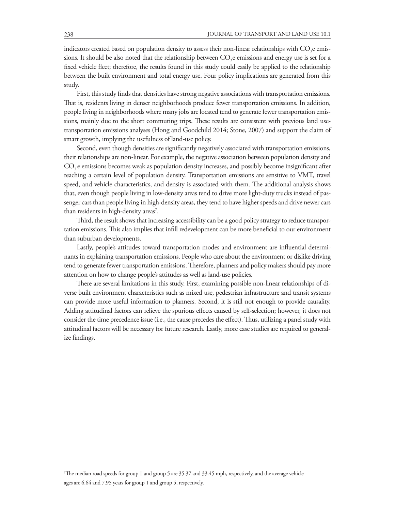indicators created based on population density to assess their non-linear relationships with  $\mathrm{CO}_2$ e emissions. It should be also noted that the relationship between  $\mathrm{CO}_2$ e emissions and energy use is set for a fixed vehicle fleet; therefore, the results found in this study could easily be applied to the relationship between the built environment and total energy use. Four policy implications are generated from this study.

First, this study finds that densities have strong negative associations with transportation emissions. That is, residents living in denser neighborhoods produce fewer transportation emissions. In addition, people living in neighborhoods where many jobs are located tend to generate fewer transportation emissions, mainly due to the short commuting trips. These results are consistent with previous land usetransportation emissions analyses (Hong and Goodchild 2014; Stone, 2007) and support the claim of smart growth, implying the usefulness of land-use policy.

Second, even though densities are significantly negatively associated with transportation emissions, their relationships are non-linear. For example, the negative association between population density and CO<sub>2</sub> e emissions becomes weak as population density increases, and possibly become insignificant after reaching a certain level of population density. Transportation emissions are sensitive to VMT, travel speed, and vehicle characteristics, and density is associated with them. The additional analysis shows that, even though people living in low-density areas tend to drive more light-duty trucks instead of passenger cars than people living in high-density areas, they tend to have higher speeds and drive newer cars than residents in high-density areas<sup>7</sup>.

Third, the result shows that increasing accessibility can be a good policy strategy to reduce transportation emissions. This also implies that infill redevelopment can be more beneficial to our environment than suburban developments.

Lastly, people's attitudes toward transportation modes and environment are influential determinants in explaining transportation emissions. People who care about the environment or dislike driving tend to generate fewer transportation emissions. Therefore, planners and policy makers should pay more attention on how to change people's attitudes as well as land-use policies.

There are several limitations in this study. First, examining possible non-linear relationships of diverse built environment characteristics such as mixed use, pedestrian infrastructure and transit systems can provide more useful information to planners. Second, it is still not enough to provide causality. Adding attitudinal factors can relieve the spurious effects caused by self-selection; however, it does not consider the time precedence issue (i.e., the cause precedes the effect). Thus, utilizing a panel study with attitudinal factors will be necessary for future research. Lastly, more case studies are required to generalize findings.

<sup>7</sup> The median road speeds for group 1 and group 5 are 35.37 and 33.45 mph, respectively, and the average vehicle ages are 6.64 and 7.95 years for group 1 and group 5, respectively.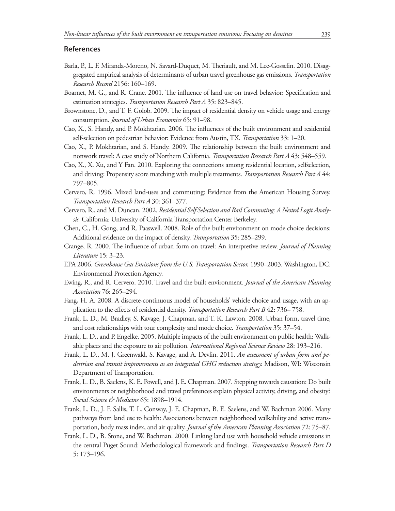#### **References**

- Barla, P., L. F. Miranda-Moreno, N. Savard-Duquet, M. Theriault, and M. Lee-Gosselin. 2010. Disaggregated empirical analysis of determinants of urban travel greenhouse gas emissions. *Transportation Research Record* 2156: 160–169.
- Boarnet, M. G., and R. Crane. 2001. The influence of land use on travel behavior: Specification and estimation strategies. *Transportation Research Part A* 35: 823–845.
- Brownstone, D., and T. F. Golob. 2009. The impact of residential density on vehicle usage and energy consumption. *Journal of Urban Economics* 65: 91–98.
- Cao, X., S. Handy, and P. Mokhtarian. 2006. The influences of the built environment and residential self-selection on pedestrian behavior: Evidence from Austin, TX. *Transportation* 33: 1–20.
- Cao, X., P. Mokhtarian, and S. Handy. 2009. The relationship between the built environment and nonwork travel: A case study of Northern California. *Transportation Research Part A* 43: 548–559.
- Cao, X., X. Xu, and Y Fan. 2010. Exploring the connections among residential location, selfselection, and driving: Propensity score matching with multiple treatments. *Transportation Research Part A* 44: 797–805.
- Cervero, R. 1996. Mixed land-uses and commuting: Evidence from the American Housing Survey. *Transportation Research Part A* 30: 361–377.
- Cervero, R., and M. Duncan. 2002. *Residential Self Selection and Rail Commuting: A Nested Logit Analysis.* California: University of California Transportation Center Berkeley.
- Chen, C., H. Gong, and R. Paaswell. 2008. Role of the built environment on mode choice decisions: Additional evidence on the impact of density. *Transportation* 35: 285–299.
- Crange, R. 2000. The influence of urban form on travel: An interpretive review. *Journal of Planning Literature* 15: 3–23.
- EPA 2006. *Greenhouse Gas Emissions from the U.S. Transportation Sector,* 1990–2003. Washington, DC: Environmental Protection Agency.
- Ewing, R., and R. Cervero. 2010. Travel and the built environment. *Journal of the American Planning Association* 76: 265–294.
- Fang, H. A. 2008. A discrete-continuous model of households' vehicle choice and usage, with an application to the effects of residential density. *Transportation Research Part B* 42: 736– 758.
- Frank, L. D., M. Bradley, S. Kavage, J. Chapman, and T. K. Lawton. 2008. Urban form, travel time, and cost relationships with tour complexity and mode choice. *Transportation* 35: 37–54.
- Frank, L. D., and P. Engelke. 2005. Multiple impacts of the built environment on public health: Walkable places and the exposure to air pollution. *International Regional Science Review* 28: 193–216.
- Frank, L. D., M. J. Greenwald, S. Kavage, and A. Devlin. 2011. *An assessment of urban form and pedestrian and transit improvements as an integrated GHG reduction strategy.* Madison, WI: Wisconsin Department of Transportation.
- Frank, L. D., B. Saelens, K. E. Powell, and J. E. Chapman. 2007. Stepping towards causation: Do built environments or neighborhood and travel preferences explain physical activity, driving, and obesity? *Social Science & Medicine* 65: 1898–1914.
- Frank, L. D., J. F. Sallis, T. L. Conway, J. E. Chapman, B. E. Saelens, and W. Bachman 2006. Many pathways from land use to health: Associations between neighborhood walkability and active transportation, body mass index, and air quality. *Journal of the American Planning Association* 72: 75–87.
- Frank, L. D., B. Stone, and W. Bachman. 2000. Linking land use with household vehicle emissions in the central Puget Sound: Methodological framework and findings. *Transportation Research Part D*  5: 173–196.